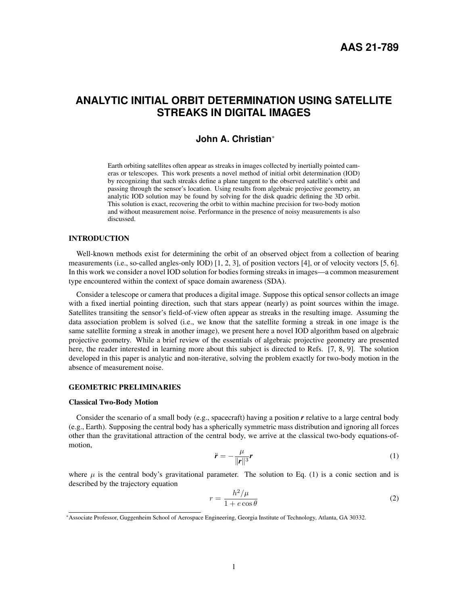# **ANALYTIC INITIAL ORBIT DETERMINATION USING SATELLITE STREAKS IN DIGITAL IMAGES**

# **John A. Christian**\*

Earth orbiting satellites often appear as streaks in images collected by inertially pointed cameras or telescopes. This work presents a novel method of initial orbit determination (IOD) by recognizing that such streaks define a plane tangent to the observed satellite's orbit and passing through the sensor's location. Using results from algebraic projective geometry, an analytic IOD solution may be found by solving for the disk quadric defining the 3D orbit. This solution is exact, recovering the orbit to within machine precision for two-body motion and without measurement noise. Performance in the presence of noisy measurements is also discussed.

# INTRODUCTION

Well-known methods exist for determining the orbit of an observed object from a collection of bearing measurements (i.e., so-called angles-only IOD) [1, 2, 3], of position vectors [4], or of velocity vectors [5, 6]. In this work we consider a novel IOD solution for bodies forming streaks in images—a common measurement type encountered within the context of space domain awareness (SDA).

Consider a telescope or camera that produces a digital image. Suppose this optical sensor collects an image with a fixed inertial pointing direction, such that stars appear (nearly) as point sources within the image. Satellites transiting the sensor's field-of-view often appear as streaks in the resulting image. Assuming the data association problem is solved (i.e., we know that the satellite forming a streak in one image is the same satellite forming a streak in another image), we present here a novel IOD algorithm based on algebraic projective geometry. While a brief review of the essentials of algebraic projective geometry are presented here, the reader interested in learning more about this subject is directed to Refs. [7, 8, 9]. The solution developed in this paper is analytic and non-iterative, solving the problem exactly for two-body motion in the absence of measurement noise.

#### GEOMETRIC PRELIMINARIES

#### Classical Two-Body Motion

Consider the scenario of a small body (e.g., spacecraft) having a position *r* relative to a large central body (e.g., Earth). Supposing the central body has a spherically symmetric mass distribution and ignoring all forces other than the gravitational attraction of the central body, we arrive at the classical two-body equations-ofmotion,

$$
\ddot{\mathbf{r}} = -\frac{\mu}{\|\mathbf{r}\|^3} \mathbf{r} \tag{1}
$$

where  $\mu$  is the central body's gravitational parameter. The solution to Eq. (1) is a conic section and is described by the trajectory equation

$$
r = \frac{h^2/\mu}{1 + e \cos \theta} \tag{2}
$$

<sup>\*</sup>Associate Professor, Guggenheim School of Aerospace Engineering, Georgia Institute of Technology, Atlanta, GA 30332.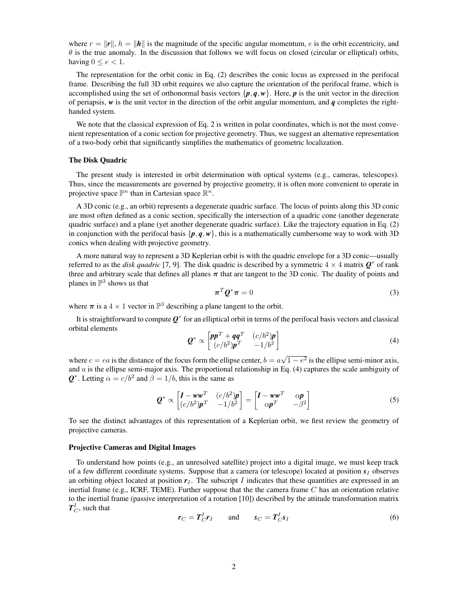where  $r = ||\mathbf{r}||$ ,  $h = ||\mathbf{h}||$  is the magnitude of the specific angular momentum, e is the orbit eccentricity, and  $\theta$  is the true anomaly. In the discussion that follows we will focus on closed (circular or elliptical) orbits, having  $0 \le e < 1$ .

The representation for the orbit conic in Eq. (2) describes the conic locus as expressed in the perifocal frame. Describing the full 3D orbit requires we also capture the orientation of the perifocal frame, which is accomplished using the set of orthonormal basis vectors  $\{p, q, w\}$ . Here, *p* is the unit vector in the direction of periapsis, *w* is the unit vector in the direction of the orbit angular momentum, and *q* completes the righthanded system.

We note that the classical expression of Eq. 2 is written in polar coordinates, which is not the most convenient representation of a conic section for projective geometry. Thus, we suggest an alternative representation of a two-body orbit that significantly simplifies the mathematics of geometric localization.

#### The Disk Quadric

The present study is interested in orbit determination with optical systems (e.g., cameras, telescopes). Thus, since the measurements are governed by projective geometry, it is often more convenient to operate in projective space  $\mathbb{P}^n$  than in Cartesian space  $\mathbb{R}^n$ .

A 3D conic (e.g., an orbit) represents a degenerate quadric surface. The locus of points along this 3D conic are most often defined as a conic section, specifically the intersection of a quadric cone (another degenerate quadric surface) and a plane (yet another degenerate quadric surface). Like the trajectory equation in Eq. (2) in conjunction with the perifocal basis  $\{p, q, w\}$ , this is a mathematically cumbersome way to work with 3D conics when dealing with projective geometry.

A more natural way to represent a 3D Keplerian orbit is with the quadric envelope for a 3D conic—usually referred to as the *disk quadric* [7, 9]. The disk quadric is described by a symmetric  $4 \times 4$  matrix  $\mathbf{Q}^*$  of rank three and arbitrary scale that defines all planes  $\pi$  that are tangent to the 3D conic. The duality of points and planes in  $\mathbb{P}^3$  shows us that

$$
\boldsymbol{\pi}^T \boldsymbol{Q}^* \boldsymbol{\pi} = 0 \tag{3}
$$

where  $\pi$  is a  $4 \times 1$  vector in  $\mathbb{P}^3$  describing a plane tangent to the orbit.

It is straightforward to compute  $Q^*$  for an elliptical orbit in terms of the perifocal basis vectors and classical orbital elements

$$
\mathbf{Q}^* \propto \begin{bmatrix} \mathbf{p}\mathbf{p}^T + \mathbf{q}\mathbf{q}^T & (c/b^2)\mathbf{p} \\ (c/b^2)\mathbf{p}^T & -1/b^2 \end{bmatrix} \tag{4}
$$

where  $c = ea$  is the distance of the focus form the ellipse center,  $b = a$  $1 - e^2$  is the ellipse semi-minor axis, and a is the ellipse semi-major axis. The proportional relationship in Eq. (4) captures the scale ambiguity of  $\mathbf{Q}^*$ . Letting  $\alpha = c/b^2$  and  $\beta = 1/b$ , this is the same as

$$
\mathbf{Q}^* \propto \begin{bmatrix} \mathbf{I} - \mathbf{w}\mathbf{w}^T & (c/b^2)\mathbf{p} \\ (c/b^2)\mathbf{p}^T & -1/b^2 \end{bmatrix} = \begin{bmatrix} \mathbf{I} - \mathbf{w}\mathbf{w}^T & \alpha\mathbf{p} \\ \alpha\mathbf{p}^T & -\beta^2 \end{bmatrix}
$$
(5)

To see the distinct advantages of this representation of a Keplerian orbit, we first review the geometry of projective cameras.

#### Projective Cameras and Digital Images

To understand how points (e.g., an unresolved satellite) project into a digital image, we must keep track of a few different coordinate systems. Suppose that a camera (or telescope) located at position  $s<sub>I</sub>$  observes an orbiting object located at position  $r<sub>I</sub>$ . The subscript I indicates that these quantities are expressed in an inertial frame (e.g., ICRF, TEME). Further suppose that the the camera frame C has an orientation relative to the inertial frame (passive interpretation of a rotation [10]) described by the attitude transformation matrix  $T_C^I$ , such that

$$
\boldsymbol{r}_C = \boldsymbol{T}_C^I \boldsymbol{r}_I \qquad \text{and} \qquad \boldsymbol{s}_C = \boldsymbol{T}_C^I \boldsymbol{s}_I \tag{6}
$$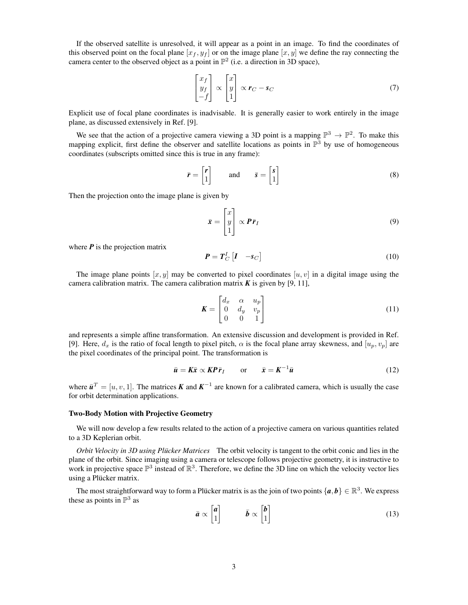If the observed satellite is unresolved, it will appear as a point in an image. To find the coordinates of this observed point on the focal plane  $[x_f, y_f]$  or on the image plane  $[x, y]$  we define the ray connecting the camera center to the observed object as a point in  $\mathbb{P}^2$  (i.e. a direction in 3D space),

$$
\begin{bmatrix} x_f \\ y_f \\ -f \end{bmatrix} \propto \begin{bmatrix} x \\ y \\ 1 \end{bmatrix} \propto r_C - s_C \tag{7}
$$

Explicit use of focal plane coordinates is inadvisable. It is generally easier to work entirely in the image plane, as discussed extensively in Ref. [9].

We see that the action of a projective camera viewing a 3D point is a mapping  $\mathbb{P}^3 \to \mathbb{P}^2$ . To make this mapping explicit, first define the observer and satellite locations as points in  $\mathbb{P}^3$  by use of homogeneous coordinates (subscripts omitted since this is true in any frame):

$$
\bar{r} = \begin{bmatrix} r \\ 1 \end{bmatrix} \quad \text{and} \quad \bar{s} = \begin{bmatrix} s \\ 1 \end{bmatrix} \tag{8}
$$

Then the projection onto the image plane is given by

$$
\bar{\mathbf{x}} = \begin{bmatrix} x \\ y \\ 1 \end{bmatrix} \propto \boldsymbol{P}\bar{\boldsymbol{r}}_I \tag{9}
$$

where  $P$  is the projection matrix

$$
P = T_C^I \begin{bmatrix} I & -s_C \end{bmatrix} \tag{10}
$$

The image plane points  $[x, y]$  may be converted to pixel coordinates  $[u, v]$  in a digital image using the camera calibration matrix. The camera calibration matrix  $K$  is given by [9, 11],

$$
\boldsymbol{K} = \begin{bmatrix} d_x & \alpha & u_p \\ 0 & d_y & v_p \\ 0 & 0 & 1 \end{bmatrix} \tag{11}
$$

and represents a simple affine transformation. An extensive discussion and development is provided in Ref. [9]. Here,  $d_x$  is the ratio of focal length to pixel pitch,  $\alpha$  is the focal plane array skewness, and  $[u_p, v_p]$  are the pixel coordinates of the principal point. The transformation is

$$
\bar{u} = K\bar{x} \propto K\bar{P}\bar{r}_I \qquad \text{or} \qquad \bar{x} = K^{-1}\bar{u} \tag{12}
$$

where  $\bar{u}^T = [u, v, 1]$ . The matrices *K* and  $K^{-1}$  are known for a calibrated camera, which is usually the case for orbit determination applications.

#### Two-Body Motion with Projective Geometry

We will now develop a few results related to the action of a projective camera on various quantities related to a 3D Keplerian orbit.

*Orbit Velocity in 3D using Plücker Matrices* The orbit velocity is tangent to the orbit conic and lies in the plane of the orbit. Since imaging using a camera or telescope follows projective geometry, it is instructive to work in projective space  $\mathbb{P}^3$  instead of  $\mathbb{R}^3$ . Therefore, we define the 3D line on which the velocity vector lies using a Plücker matrix.

The most straightforward way to form a Plücker matrix is as the join of two points  $\{a, b\} \in \mathbb{R}^3$ . We express these as points in  $\mathbb{P}^3$  as

$$
\bar{a} \propto \begin{bmatrix} a \\ 1 \end{bmatrix} \qquad \bar{b} \propto \begin{bmatrix} b \\ 1 \end{bmatrix} \tag{13}
$$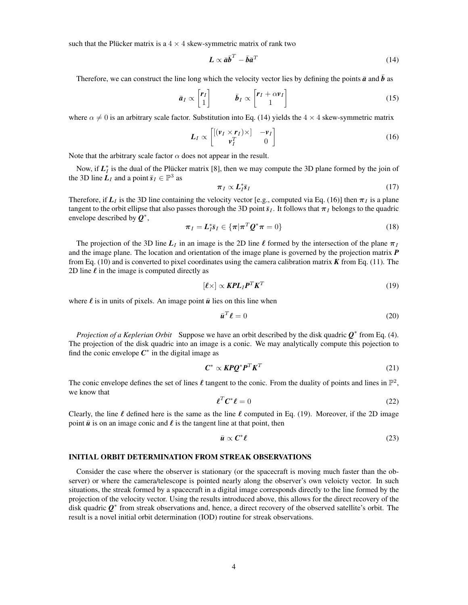such that the Plücker matrix is a  $4 \times 4$  skew-symmetric matrix of rank two

$$
L \propto \bar{a}\bar{b}^T - \bar{b}\bar{a}^T \tag{14}
$$

Therefore, we can construct the line long which the velocity vector lies by defining the points  $\bar{a}$  and  $\bar{b}$  as

$$
\bar{a}_I \propto \begin{bmatrix} r_I \\ 1 \end{bmatrix} \qquad \bar{b}_I \propto \begin{bmatrix} r_I + \alpha v_I \\ 1 \end{bmatrix} \tag{15}
$$

where  $\alpha \neq 0$  is an arbitrary scale factor. Substitution into Eq. (14) yields the  $4 \times 4$  skew-symmetric matrix

$$
L_I \propto \begin{bmatrix} [(\nu_I \times r_I) \times ] & -\nu_I \\ \nu_I^T & 0 \end{bmatrix}
$$
 (16)

Note that the arbitrary scale factor  $\alpha$  does not appear in the result.

Now, if  $L_I^*$  is the dual of the Plucker matrix [8], then we may compute the 3D plane formed by the join of the 3D line  $\hat{L}_I$  and a point  $\bar{s}_I \in \mathbb{P}^3$  as

$$
\pi_I \propto L_I^* \bar{s}_I \tag{17}
$$

Therefore, if  $L_I$  is the 3D line containing the velocity vector [e.g., computed via Eq. (16)] then  $\pi_I$  is a plane tangent to the orbit ellipse that also passes thorough the 3D point  $\bar{s}_I$ . It follows that  $\pi_I$  belongs to the quadric envelope described by *Q* ∗ ,

$$
\boldsymbol{\pi}_I = \boldsymbol{L}_I^* \bar{\boldsymbol{s}}_I \in \{\boldsymbol{\pi} | \boldsymbol{\pi}^T \boldsymbol{Q}^* \boldsymbol{\pi} = 0\}
$$
\n(18)

The projection of the 3D line  $L_I$  in an image is the 2D line  $\ell$  formed by the intersection of the plane  $\pi_I$ and the image plane. The location and orientation of the image plane is governed by the projection matrix *P* from Eq. (10) and is converted to pixel coordinates using the camera calibration matrix *K* from Eq. (11). The 2D line  $\ell$  in the image is computed directly as

$$
[\ell \times] \propto \mathbf{KPL}_I \mathbf{P}^T \mathbf{K}^T
$$
 (19)

where  $\ell$  is in units of pixels. An image point  $\bar{u}$  lies on this line when

$$
\bar{u}^T \ell = 0 \tag{20}
$$

*Projection of a Keplerian Orbit* Suppose we have an orbit described by the disk quadric  $Q$ <sup>\*</sup> from Eq. (4). The projection of the disk quadric into an image is a conic. We may analytically compute this pojection to find the conic envelope  $C^*$  in the digital image as

$$
C^* \propto KPQ^*P^T K^T \tag{21}
$$

The conic envelope defines the set of lines  $\ell$  tangent to the conic. From the duality of points and lines in  $\mathbb{P}^2$ , we know that

$$
\ell^T \mathcal{C}^* \ell = 0 \tag{22}
$$

Clearly, the line  $\ell$  defined here is the same as the line  $\ell$  computed in Eq. (19). Moreover, if the 2D image point  $\bar{u}$  is on an image conic and  $\ell$  is the tangent line at that point, then

$$
\bar{u} \propto C^* \ell \tag{23}
$$

#### INITIAL ORBIT DETERMINATION FROM STREAK OBSERVATIONS

Consider the case where the observer is stationary (or the spacecraft is moving much faster than the observer) or where the camera/telescope is pointed nearly along the observer's own veloicty vector. In such situations, the streak formed by a spacecraft in a digital image corresponds directly to the line formed by the projection of the velocity vector. Using the results introduced above, this allows for the direct recovery of the disk quadric *Q* ∗ from streak observations and, hence, a direct recovery of the observed satellite's orbit. The result is a novel initial orbit determination (IOD) routine for streak observations.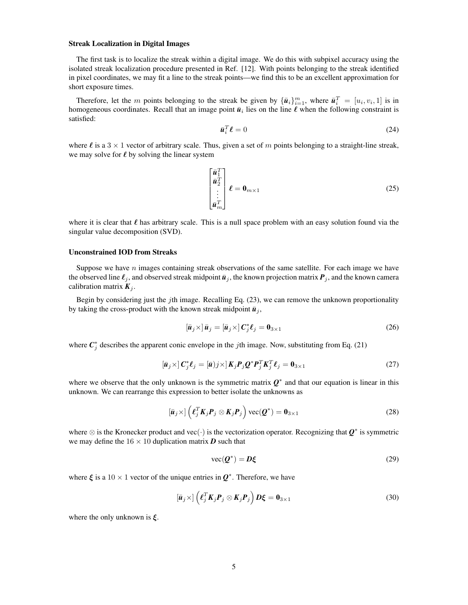#### Streak Localization in Digital Images

The first task is to localize the streak within a digital image. We do this with subpixel accuracy using the isolated streak localization procedure presented in Ref. [12]. With points belonging to the streak identified in pixel coordinates, we may fit a line to the streak points—we find this to be an excellent approximation for short exposure times.

Therefore, let the m points belonging to the streak be given by  ${\{\bar{u}_i\}}_{i=1}^m$ , where  ${\bar{u}_i}^T = [u_i, v_i, 1]$  is in homogeneous coordinates. Recall that an image point  $\bar{u}_i$  lies on the line  $\ell$  when the following constraint is satisfied:

$$
\bar{\boldsymbol{u}}_i^T \boldsymbol{\ell} = 0 \tag{24}
$$

where  $\ell$  is a 3  $\times$  1 vector of arbitrary scale. Thus, given a set of m points belonging to a straight-line streak, we may solve for  $\ell$  by solving the linear system

$$
\begin{bmatrix} \bar{\mathbf{u}}_1^T\\ \bar{\mathbf{u}}_2^T\\ \vdots\\ \bar{\mathbf{u}}_m^T \end{bmatrix} \boldsymbol{\ell} = \mathbf{0}_{m \times 1}
$$
 (25)

where it is clear that  $\ell$  has arbitrary scale. This is a null space problem with an easy solution found via the singular value decomposition (SVD).

# Unconstrained IOD from Streaks

Suppose we have  $n$  images containing streak observations of the same satellite. For each image we have the observed line  $\ell_j$ , and observed streak midpoint  $\bar{u}_j$ , the known projection matrix  $P_j$ , and the known camera calibration matrix  $K_i$ .

Begin by considering just the jth image. Recalling Eq.  $(23)$ , we can remove the unknown proportionality by taking the cross-product with the known streak midpoint  $\bar{u}_j$ ,

$$
\left[\bar{\boldsymbol{u}}_{j} \times \right] \bar{\boldsymbol{u}}_{j} = \left[\bar{\boldsymbol{u}}_{j} \times \right] \boldsymbol{C}_{j}^{*} \boldsymbol{\ell}_{j} = \boldsymbol{0}_{3 \times 1}
$$
\n(26)

where  $C_j^*$  describes the apparent conic envelope in the *j*th image. Now, substituting from Eq. (21)

$$
\left[\bar{u}_j \times\right] C_j^* \ell_j = \left[\bar{u}\right] j \times\left] K_j P_j Q^* P_j^T K_j^T \ell_j = 0_{3 \times 1} \tag{27}
$$

where we observe that the only unknown is the symmetric matrix  $Q^*$  and that our equation is linear in this unknown. We can rearrange this expression to better isolate the unknowns as

$$
\left[\bar{\boldsymbol{u}}_j \times\right] \left(\boldsymbol{\ell}_j^T \boldsymbol{K}_j \boldsymbol{P}_j \otimes \boldsymbol{K}_j \boldsymbol{P}_j\right) \text{vec}(\boldsymbol{Q}^*) = \boldsymbol{0}_{3 \times 1} \tag{28}
$$

where ⊗ is the Kronecker product and vec(·) is the vectorization operator. Recognizing that *Q* ∗ is symmetric we may define the  $16 \times 10$  duplication matrix *D* such that

$$
\text{vec}(\mathbf{Q}^*) = \mathbf{D}\xi \tag{29}
$$

where  $\xi$  is a 10 × 1 vector of the unique entries in  $Q^*$ . Therefore, we have

$$
\left[\bar{\boldsymbol{u}}_j \times\right] \left(\boldsymbol{\ell}_j^T \boldsymbol{K}_j \boldsymbol{P}_j \otimes \boldsymbol{K}_j \boldsymbol{P}_j\right) \boldsymbol{D} \boldsymbol{\xi} = \boldsymbol{0}_{3 \times 1} \tag{30}
$$

where the only unknown is  $\xi$ .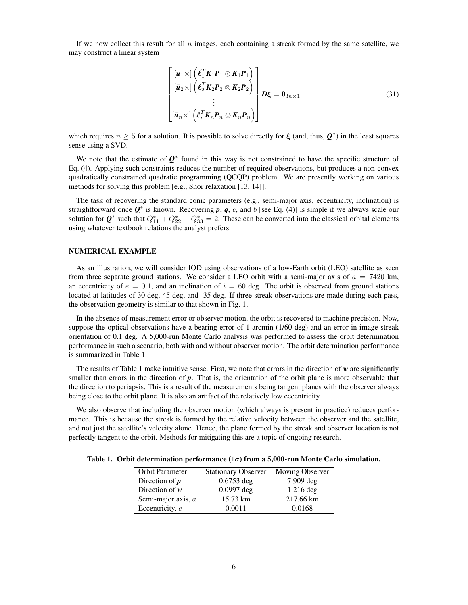If we now collect this result for all  $n$  images, each containing a streak formed by the same satellite, we may construct a linear system

$$
\begin{bmatrix}\n[\bar{u}_1 \times] \left( \ell_1^T K_1 P_1 \otimes K_1 P_1 \right) \\
[\bar{u}_2 \times] \left( \ell_2^T K_2 P_2 \otimes K_2 P_2 \right) \\
\vdots \\
[\bar{u}_n \times] \left( \ell_n^T K_n P_n \otimes K_n P_n \right)\n\end{bmatrix} D\xi = \mathbf{0}_{3n \times 1}
$$
\n(31)

which requires  $n \geq 5$  for a solution. It is possible to solve directly for  $\xi$  (and, thus,  $Q^*$ ) in the least squares sense using a SVD.

We note that the estimate of  $Q^*$  found in this way is not constrained to have the specific structure of Eq. (4). Applying such constraints reduces the number of required observations, but produces a non-convex quadratically constrained quadratic programming (QCQP) problem. We are presently working on various methods for solving this problem [e.g., Shor relaxation [13, 14]].

The task of recovering the standard conic parameters (e.g., semi-major axis, eccentricity, inclination) is straightforward once  $Q^*$  is known. Recovering  $p, q, c$ , and b [see Eq. (4)] is simple if we always scale our solution for  $\mathbf{Q}^*$  such that  $Q_{11}^* + Q_{22}^* + Q_{33}^* = 2$ . These can be converted into the classical orbital elements using whatever textbook relations the analyst prefers.

### NUMERICAL EXAMPLE

As an illustration, we will consider IOD using observations of a low-Earth orbit (LEO) satellite as seen from three separate ground stations. We consider a LEO orbit with a semi-major axis of  $a = 7420$  km, an eccentricity of  $e = 0.1$ , and an inclination of  $i = 60$  deg. The orbit is observed from ground stations located at latitudes of 30 deg, 45 deg, and -35 deg. If three streak observations are made during each pass, the observation geometry is similar to that shown in Fig. 1.

In the absence of measurement error or observer motion, the orbit is recovered to machine precision. Now, suppose the optical observations have a bearing error of 1 arcmin (1/60 deg) and an error in image streak orientation of 0.1 deg. A 5,000-run Monte Carlo analysis was performed to assess the orbit determination performance in such a scenario, both with and without observer motion. The orbit determination performance is summarized in Table 1.

The results of Table 1 make intuitive sense. First, we note that errors in the direction of *w* are significantly smaller than errors in the direction of **p**. That is, the orientation of the orbit plane is more observable that the direction to periapsis. This is a result of the measurements being tangent planes with the observer always being close to the orbit plane. It is also an artifact of the relatively low eccentricity.

We also observe that including the observer motion (which always is present in practice) reduces performance. This is because the streak is formed by the relative velocity between the observer and the satellite, and not just the satellite's velocity alone. Hence, the plane formed by the streak and observer location is not perfectly tangent to the orbit. Methods for mitigating this are a topic of ongoing research.

|  | Table 1. Orbit determination performance $(1\sigma)$ from a 5,000-run Monte Carlo simulation. |  |  |  |  |  |  |  |  |
|--|-----------------------------------------------------------------------------------------------|--|--|--|--|--|--|--|--|
|--|-----------------------------------------------------------------------------------------------|--|--|--|--|--|--|--|--|

| Orbit Parameter    | <b>Stationary Observer</b> | Moving Observer |
|--------------------|----------------------------|-----------------|
| Direction of $p$   | $0.6753$ deg               | $7.909$ deg     |
| Direction of $w$   | $0.0997$ deg               | $1.216$ deg     |
| Semi-major axis, a | 15.73 km                   | 217.66 km       |
| Eccentricity, e    | 0.0011                     | 0.0168          |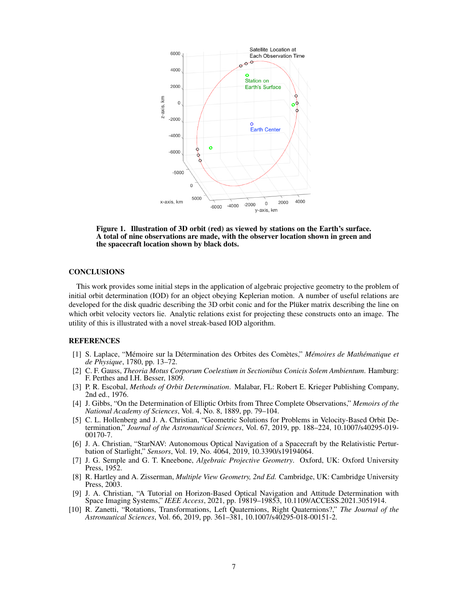

Figure 1. Illustration of 3D orbit (red) as viewed by stations on the Earth's surface. A total of nine observations are made, with the observer location shown in green and the spacecraft location shown by black dots.

#### **CONCLUSIONS**

This work provides some initial steps in the application of algebraic projective geometry to the problem of initial orbit determination (IOD) for an object obeying Keplerian motion. A number of useful relations are developed for the disk quadric describing the 3D orbit conic and for the Plüker matrix describing the line on which orbit velocity vectors lie. Analytic relations exist for projecting these constructs onto an image. The utility of this is illustrated with a novel streak-based IOD algorithm.

## REFERENCES

- [1] S. Laplace, "Mémoire sur la Détermination des Orbites des Comètes," *Mémoires de Mathématique et de Physique*, 1780, pp. 13–72.
- [2] C. F. Gauss, *Theoria Motus Corporum Coelestium in Sectionibus Conicis Solem Ambientum*. Hamburg: F. Perthes and I.H. Besser, 1809.
- [3] P. R. Escobal, *Methods of Orbit Determination*. Malabar, FL: Robert E. Krieger Publishing Company, 2nd ed., 1976.
- [4] J. Gibbs, "On the Determination of Elliptic Orbits from Three Complete Observations," *Memoirs of the National Academy of Sciences*, Vol. 4, No. 8, 1889, pp. 79–104.
- [5] C. L. Hollenberg and J. A. Christian, "Geometric Solutions for Problems in Velocity-Based Orbit Determination," *Journal of the Astronautical Sciences*, Vol. 67, 2019, pp. 188–224, 10.1007/s40295-019- 00170-7.
- [6] J. A. Christian, "StarNAV: Autonomous Optical Navigation of a Spacecraft by the Relativistic Perturbation of Starlight," *Sensors*, Vol. 19, No. 4064, 2019, 10.3390/s19194064.
- [7] J. G. Semple and G. T. Kneebone, *Algebraic Projective Geometry*. Oxford, UK: Oxford University Press, 1952.
- [8] R. Hartley and A. Zisserman, *Multiple View Geometry, 2nd Ed.* Cambridge, UK: Cambridge University Press, 2003.
- [9] J. A. Christian, "A Tutorial on Horizon-Based Optical Navigation and Attitude Determination with Space Imaging Systems," *IEEE Access*, 2021, pp. 19819–19853, 10.1109/ACCESS.2021.3051914.
- [10] R. Zanetti, "Rotations, Transformations, Left Quaternions, Right Quaternions?," *The Journal of the Astronautical Sciences*, Vol. 66, 2019, pp. 361–381, 10.1007/s40295-018-00151-2.